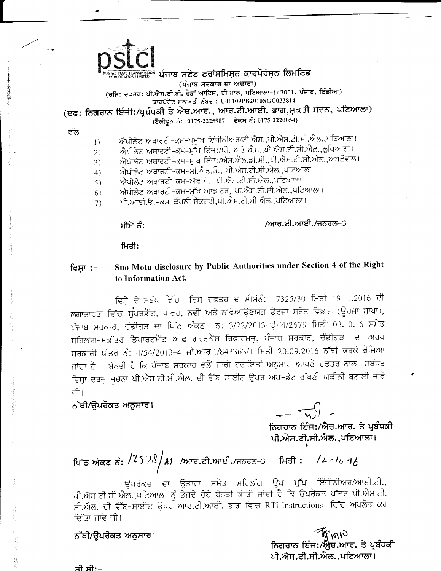## ™ ਪੰਜਾਬ ਸਟੇਟ ਟਰਾਂਸਮਿਸਨ ਕਾਰਪੋਰੇਸ਼ਨ ਲਿਮਟਿਡ

(ਪੰਜਾਬ ਸਰਕਾਰ ਦਾ ਅਦਾਰਾ)

(ਰਜਿ: ਦਫਤਰ: ਪੀ.ਐਸ.ਈ.ਬੀ. ਹੈਡੱ ਆਫਿਸ, ਦੀ ਮਾਲ, ਪਟਿਆਲਾ-147001, ਪੰਜਾਬ, ਇੰਡੀਆ) ਕਾਰਪੋਰੇਟ ਸਨਾਖਤੀ ਨੰਬਰ: U40109PB2010SGC033814

(ਦਫ: ਨਿਗਰਾਨ ਇੰਜੀ:/ਪ੍ਰਬੰਧਕੀ ਤੇ ਐਚ.ਆਰ., ਆਰ.ਟੀ.ਆਈ. ਭਾਗ,ਸ਼ਕਤੀ ਸਦਨ, ਪਟਿਆਲਾ) (ਟੈਲੀਫੂਨ ਨੰ: 0175-2225907 - ਫੈਕਸ ਨੰ: 0175-2220054)

ਵੱਲ

- ਐਪੀਲੇਟ ਅਥਾਰਟੀ-ਕਮ-ਪ੍ਰਮੁੱਖ ਇੰਜੀਨੀਅਰ/ਟੀ.ਐਸ.,ਪੀ.ਐਸ.ਟੀ.ਸੀ.ਐਲ.,ਪਟਿਆਲਾ।
- $1)$ ਐਪੀਲੇਟ ਅਥਾਰਟੀ-ਕਮ-ਮੁੱਖ ਇੰਜ:/ਪੀ. ਅਤੇ ਐਮ.,ਪੀ.ਐਸ.ਟੀ.ਸੀ.ਐਲ.,ਲੁਧਿਆਣਾ।  $2)$
- ਐਪੀਲੇਟ ਅਥਾਰਟੀ-ਕਮ-ਮੁੱਖ ਇੰਜ:/ਐਸ.ਐਲ.ਡੀ.ਸੀ.,ਪੀ.ਐਸ.ਟੀ.ਸੀ.ਐਲ.,ਅਬਲੋਵਾਲ।  $(3)$
- ਐਪੀਲੇਟ ਅਥਾਰਟੀ-ਕਮ-ਸੀ.ਐਫ.ਓ., ਪੀ.ਐਸ.ਟੀ.ਸੀ.ਐਲ.,ਪਟਿਆਲਾ।  $4)$
- ਐਪੀਲੇਟ ਅਥਾਰਟੀ-ਕਮ-ਐਫ.ਏ., ਪੀ.ਐਸ.ਟੀ.ਸੀ.ਐਲ.,ਪਟਿਆਲਾ।  $5)$
- ਐਪੀਲੇਟ ਅਥਾਰਟੀ-ਕਮ-ਮੁੱਖ ਆਡੀਟਰ, ਪੀ.ਐਸ.ਟੀ.ਸੀ.ਐਲ.,ਪਟਿਆਲਾ।  $6)$
- ਪੀ.ਆਈ.ਓ.-ਕਮ-ਕੰਪਨੀ ਸੈਕਟਰੀ,ਪੀ.ਐਸ.ਟੀ.ਸੀ.ਐਲ.,ਪਟਿਆਲਾ।  $7)$

ਮੀਮੋ ਨੰ:

## /ਆਰ.ਟੀ.ਆਈ./ਜਨਰਲ-3

ਮਿਤੀ:

## Suo Motu disclosure by Public Authorities under Section 4 of the Right ਵਿਸਾ :to Information Act.

ਵਿਸ਼ੇ ਦੇ ਸਬੰਧ ਵਿੱਚ ਇਸ ਦਫਤਰ ਦੇ ਮੀਮੋਨੰ: 17325/30 ਮਿਤੀ 19.11.2016 ਦੀ ਲਗਾਤਾਰਤਾ ਵਿੱਚ ਸੁੰਪਰਡੈਂਟ, ਪਾਵਰ, ਨਵੀਂ ਅਤੇ ਨਵਿਆਉਣਯੋਗ ਉਰਜਾ ਸਰੋਤ ਵਿਭਾਗ (ਊਰਜਾ ਸ਼ਾਖਾ), ਪੰਜਾਬ ਸਰਕਾਰ, ਚੰਡੀਗੜ ਦਾ ਪਿੱਠ ਅੰਕਣ ਨੰ: 3/22/2013-ਉਸ4/2679 ਮਿਤੀ 03.10.16 ਸਮੇਤ ਸਹਿਲੱਗ-ਸਕੱਤਰ ਡਿਪਾਰਟਮੈਂਟ ਆਫ ਗਵਰਨੈਂਸ ਰਿਫਾਰਮਜ਼, ਪੰਜਾਬ ਸਰਕਾਰ, ਚੰਡੀਗੜ ਦਾ ਅਰਧ ਸਰਕਾਰੀ ਪੱਤਰ ਨੰ: 4/54/2013-4 ਜੀ.ਆਰ.1/843363/1 ਮਿਤੀ 20.09.2016 ਨੱਥੀ ਕਰਕੇ ਭੇਜਿਆ ਜਾਂਦਾ ਹੈ । ਬੇਨਤੀ ਹੈ ਕਿ ਪੰਜਾਬ ਸਰਕਾਰ ਵਲੋਂ ਜਾਰੀ ਹਦਾਇਤਾਂ ਅਨੁਸਾਰ ਆਪਣੇ ਦਫਤਰ ਨਾਲ ਸਬੰਧਤ ਵਿਸ਼ਾ ਦਰਜ਼ ਸੂਚਨਾ ਪੀ.ਐਸ.ਟੀ.ਸੀ.ਐਲ. ਦੀ ਵੈੱਬ-ਸਾਈਟ ਉਪਰ ਅਪ-ਡੇਟ ਰੱਖਣੀ ਯਕੀਨੀ ਬਣਾਈ ਜਾਵੇ ਜੀ।

## ਨੱਥੀ/ੳਪਰੋਕਤ ਅਨੁਸਾਰ।

 $\overrightarrow{n)}$ 

ਨਿਗਰਾਨ ਇੰਜ:/ਐਚ.ਆਰ. ਤੇ ਪ੍ਰਬੰਧਕੀ ਪੀ.ਐਸ.ਟੀ.ਸੀ.ਐਲ.,ਪਟਿਆਲਾ।

ਪਿੱਠ ਅੰਕਣ ਨੰ:  $\frac{1252}{3}$  / ਅਾਰ.ਟੀ.ਆਈ./ਜਨਰਲ-3 ਸਿਤੀ :  $\frac{127}{6}$  /  $\frac{1}{6}$ 

ਉਪਰੋਕਤ ਦਾ ਉਤਾਰਾ ਸਮੇਤ ਸਹਿਲੱਗ ਉਪ ਮੁੱਖ ਇੰਜੀਨੀਅਰ/ਆਈ.ਟੀ., ਪੀ.ਐਸ.ਟੀ.ਸੀ.ਐਲ.,ਪਟਿਆਲਾ ਨੂੰ ਭੇਜਦੇ ਹੋਏ ਬੇਨਤੀ ਕੀਤੀ ਜਾਂਦੀ ਹੈ ਕਿ ਉਪਰੋਕਤ ਪੱਤਰ ਪੀ.ਐਸ.ਟੀ. ਸੀ.ਐਲ. ਦੀ ਵੈੱਬ-ਸਾਈਟ ਉਪਰ ਆਰ.ਟੀ.ਆਈ. ਭਾਗ ਵਿੱਚ RTI Instructions ਵਿੱਚ ਅਪਲੋਡ ਕਰ ਦਿੱਤਾ ਜਾਵੇ ਜੀ।

ਨੱਥੀ/ਉਪਰੋਕਤ ਅਨੁਸਾਰ।

ੀੱ <sub>\∿\</sub>\ੇ<br>ਨਿਗਰਾਨ ਇੰਜ:/ਐ਼ੁਚ.ਆਰ. ਤੇ ਪ੍ਰਬੰਧਕੀ ਪੀ.ਐਸ.ਟੀ.ਸੀ.ਐਲ..ਪਟਿਆਲਾ।

ਸੀ.ਸੀ:-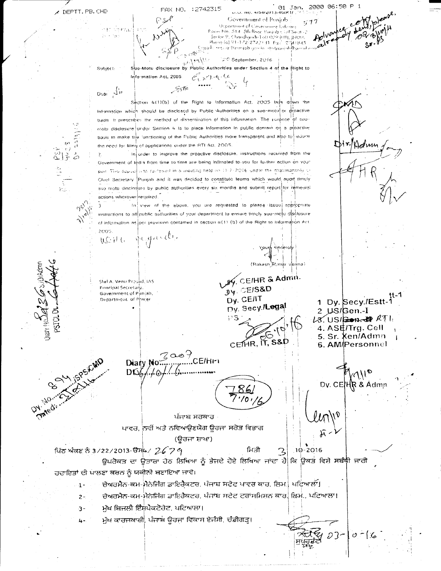ś

**OH.** EAD!

 $\phi_{\psi_{\mathcal{O}}}$ 

|    | FAX NO. :2742315 |                                     | 01 Jan. 2000 06:50 P |  |
|----|------------------|-------------------------------------|----------------------|--|
|    |                  | $U, U, W0, W0W2013-0GB11, 19533357$ |                      |  |
| こん |                  | Covernment of Ponjob                | t:77                 |  |
|    |                  | Department of Covernance Refering.  |                      |  |

 $a^{n}$ 

oam Mo. ST4. 5th floor. Punink Civil Seat -2 Chandigorh-1.60.009 (UTI, JINDIA hene (e) 91-1-22-27 д2) з1 - Рч.<sup>2</sup> 2701845 res a Broopda gov in storpunisk Bounds

 $\langle \psi/\rangle$ re $\sqrt{\lambda_{\rm df}}$ ② September, 2016

Suo-Motu disclosure by Public Authorities under Section 4 of the Right to Subject: Information Act, 2005.  $C_{1} > 1 - 4 - 66$ 

 $\lesssim t$ 

Deal  $\langle \mathcal{N}^{\mu} \rangle$ 

Section 4(1)(b) of the Right to Information Act. 2005 lays down the information which should be disclosed by Public Authorities on a suo-motul or droactive basis. It prescribes the method of dissemination of this information. The purpose of suomotu disclosure under Section 4 Is to place Information In public domain on a proactive basis to make the functioning of the Public Authorities more transparent and also to educe the need for filing of applications under the RTI Act, 2005

In order to improve the proactive disclosure, instructions received from the Government of India from time to time are being Intimated to you for further action on your pert. This equal was raidawed in a meeting held on 11-7-2016, and it the obatimanship or Chief Secretary Punjab and it was decided to constitute teams which would, audit timely suo motu disclosure by public authorities every six months and submit report for remedial actions wherever required.

In view of the above, you are requested to please issue) appropriate instructions to all public authorities of your department to ensure timely suo-motu disclosure of information as  $\vert$ per provision contained in section  $u(1)$  (b) of the Right to Information Act 2005

WEHR JEgander

Shri A. Venu Prosad, IAS Frincipal Secretary. Government of Punjab, Department of Phwer

29. CEIHR & Admin.  $y'_{\Psi}$ . CEIS&D Dy. CE/IT Dy. Secy./Legal ុះន CETHR, IT, S&D

ਮਿਤੀ

1 Dy. Secy./Estt-1<br>2 JJS/Gen.-I  $18$  US/2007-0  $RTL$ 4. ASE/Trg. Cell 5. Sr. Ken/Admn 6. AM/Personnel

'Holm

Dv. CE  $HR$  & Admn

 $03 - 10 - 6$ 

 $10 - 2016$  $\mathbf{\mathcal{Z}}$ 

ਪਿੱਠ ਅੰਕਣ ਨੇ 3/22/2013-ੳਸੰਘ / 26 7 9 ਉਪਰੋਕਤ ਦਾ ਉਤਾਰਾ ਹੇਠ ਲਿਖਿਆ ਨੂੰ ਝੋਜਦੇ ਹੋਏ ਲਿਖਿਆ ਜਾਂਦਾ ਹੈ ਕਿ ਉਕਤ ਵਿਸ਼ੇ ਸਬੰਧੀ ਜਾਰੀ ਹਦਾਇਤਾਂ ਦੀ ਪਾਲਣਾ ਕਰਨ ਨੂੰ ਯਕੀਨੀ ਬਣਾਇਆ ਜਾਵੇ।

ਪੰਜਾਬ ਸਰਕਾਰ ਪਾਵਰ, ਨਵੀਂ ਅਤੇ ਨਵਿਆਉਣਯੋਗ ਉਰਜਾ ਸਰੋਤ ਵਿਭਾਗ (ਉਰਜਾ ਸ਼ਾਖਾ)

ਚੇਅਰਮੈਨ-ਕਮ-ਮੈਨੇਜਿੰਗ ਡਾਇਰੈਕਟਰ, ਪੰਜਾਬ ਸਟੋਟ ਪਾਵਰ ਕਾਰ, ਲਿਮ. ਪਟਿਆਲੀ।  $\ddot{\mathbf{1}}$ 

ਚੇਅਰਮੈਨ-ਕਮ-ਮੈਨੇਜਿੰਗ ਡਾਇਰੈਕਟਰ, ਪੰਜਾਬ ਸਟੇਟ ਟਰਾਂਸਮਿਸ਼ਨ ਕਾਰ, ਲਿਮ., ਪਟਿਆਲਾ।  $2 -$ 

ਮੁੱਖ ਬਿਜਲੀ ਇੰਸਪੈਕਟੋਰੇਟ, ਪਟਿਆਲਾ।  $\overline{3}$  -

 $DG_0/46$ 

ਮੁੱਖ ਕਾਰਜਕਾਰੀ, ਪੰਜਾਬ ਊਰਜਾ ਵਿਕਾਸ ਏਜੰਸੀ, ਚੰਡੀਗੜ੍ਹ। 4-

Diary No. 2009<br>CE/HFI